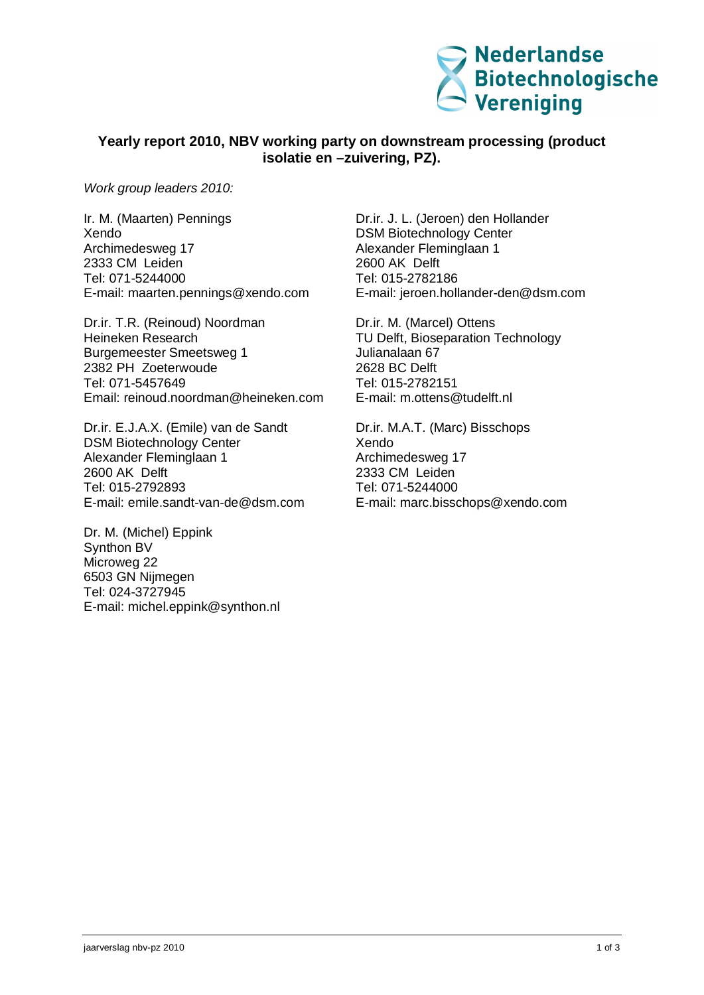

## **Yearly report 2010, NBV working party on downstream processing (product isolatie en –zuivering, PZ).**

*Work group leaders 2010:*

Ir. M. (Maarten) Pennings Xendo Archimedesweg 17 2333 CM Leiden Tel: 071-5244000 E-mail: [maarten.pennings@xendo.com](mailto:maarten.pennings@xendo.com)

Dr.ir. T.R. (Reinoud) Noordman Heineken Research Burgemeester Smeetsweg 1 2382 PH Zoeterwoude Tel: 071-5457649 Email: [reinoud.noordman@heineken.com](mailto:reinoud.noordman@heineken.com)

Dr.ir. E.J.A.X. (Emile) van de Sandt DSM Biotechnology Center Alexander Fleminglaan 1 2600 AK Delft Tel: 015-2792893 E-mail: [emile.sandt-van-de@dsm.com](mailto:emile.sandt-van-de@dsm.com)

Dr. M. (Michel) Eppink Synthon BV Microweg 22 6503 GN Nijmegen Tel: 024-3727945 E-mail: [michel.eppink@synthon.nl](mailto:michel.eppink@synthon.nl)

Dr.ir. J. L. (Jeroen) den Hollander DSM Biotechnology Center Alexander Fleminglaan 1 2600 AK Delft Tel: 015-2782186 E-mail: [jeroen.hollander-den@dsm.com](mailto:jeroen.hollander-den@dsm.com)

Dr.ir. M. (Marcel) Ottens TU Delft, Bioseparation Technology Julianalaan 67 2628 BC Delft Tel: 015-2782151 E-mail: [m.ottens@tudelft.nl](mailto:m.ottens@tudelft.nl)

Dr.ir. M.A.T. (Marc) Bisschops Xendo Archimedesweg 17 2333 CM Leiden Tel: 071-5244000 E-mail: [marc.bisschops@xendo.com](mailto:marc.bisschops@xendo.com)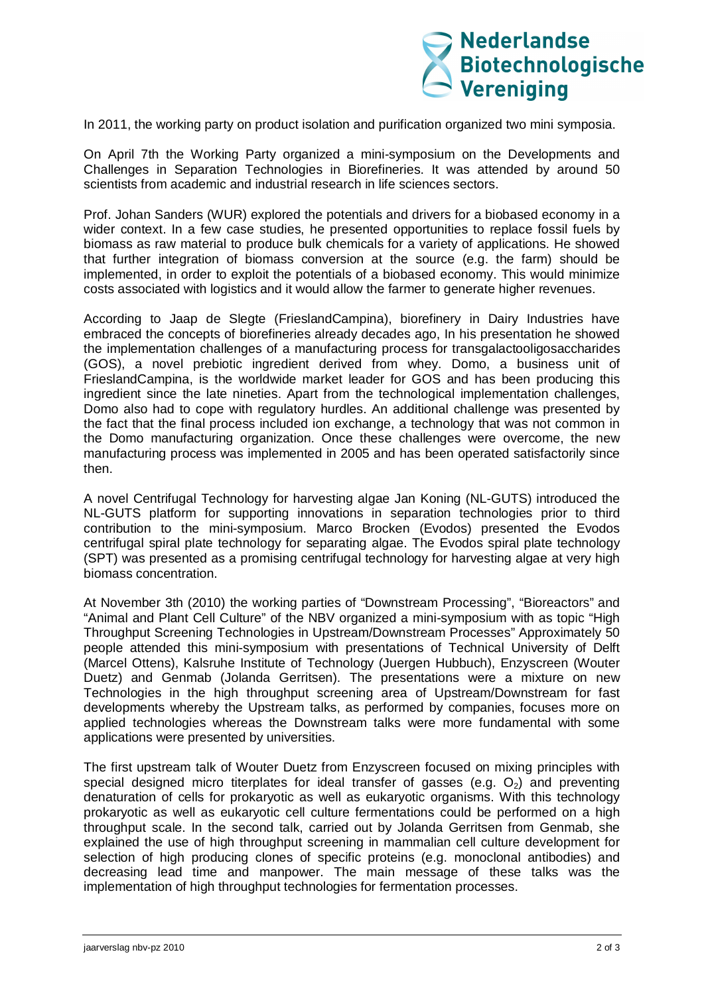

In 2011, the working party on product isolation and purification organized two mini symposia.

On April 7th the Working Party organized a mini-symposium on the Developments and Challenges in Separation Technologies in Biorefineries. It was attended by around 50 scientists from academic and industrial research in life sciences sectors.

Prof. Johan Sanders (WUR) explored the potentials and drivers for a biobased economy in a wider context. In a few case studies, he presented opportunities to replace fossil fuels by biomass as raw material to produce bulk chemicals for a variety of applications. He showed that further integration of biomass conversion at the source (e.g. the farm) should be implemented, in order to exploit the potentials of a biobased economy. This would minimize costs associated with logistics and it would allow the farmer to generate higher revenues.

According to Jaap de Slegte (FrieslandCampina), biorefinery in Dairy Industries have embraced the concepts of biorefineries already decades ago, In his presentation he showed the implementation challenges of a manufacturing process for transgalactooligosaccharides (GOS), a novel prebiotic ingredient derived from whey. Domo, a business unit of FrieslandCampina, is the worldwide market leader for GOS and has been producing this ingredient since the late nineties. Apart from the technological implementation challenges, Domo also had to cope with regulatory hurdles. An additional challenge was presented by the fact that the final process included ion exchange, a technology that was not common in the Domo manufacturing organization. Once these challenges were overcome, the new manufacturing process was implemented in 2005 and has been operated satisfactorily since then.

A novel Centrifugal Technology for harvesting algae Jan Koning (NL-GUTS) introduced the NL-GUTS platform for supporting innovations in separation technologies prior to third contribution to the mini-symposium. Marco Brocken (Evodos) presented the Evodos centrifugal spiral plate technology for separating algae. The Evodos spiral plate technology (SPT) was presented as a promising centrifugal technology for harvesting algae at very high biomass concentration.

At November 3th (2010) the working parties of "Downstream Processing", "Bioreactors" and "Animal and Plant Cell Culture" of the NBV organized a mini-symposium with as topic "High Throughput Screening Technologies in Upstream/Downstream Processes" Approximately 50 people attended this mini-symposium with presentations of Technical University of Delft (Marcel Ottens), Kalsruhe Institute of Technology (Juergen Hubbuch), Enzyscreen (Wouter Duetz) and Genmab (Jolanda Gerritsen). The presentations were a mixture on new Technologies in the high throughput screening area of Upstream/Downstream for fast developments whereby the Upstream talks, as performed by companies, focuses more on applied technologies whereas the Downstream talks were more fundamental with some applications were presented by universities.

The first upstream talk of Wouter Duetz from Enzyscreen focused on mixing principles with special designed micro titerplates for ideal transfer of gasses (e.g.  $O<sub>2</sub>$ ) and preventing denaturation of cells for prokaryotic as well as eukaryotic organisms. With this technology prokaryotic as well as eukaryotic cell culture fermentations could be performed on a high throughput scale. In the second talk, carried out by Jolanda Gerritsen from Genmab, she explained the use of high throughput screening in mammalian cell culture development for selection of high producing clones of specific proteins (e.g. monoclonal antibodies) and decreasing lead time and manpower. The main message of these talks was the implementation of high throughput technologies for fermentation processes.